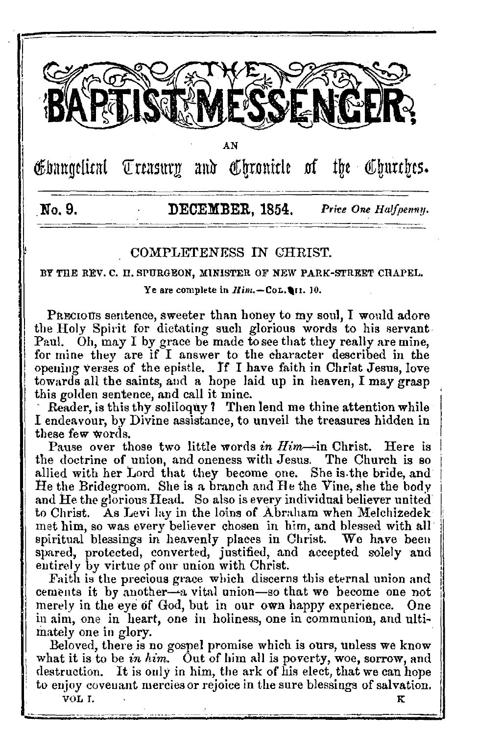

A<sub>N</sub>

Ebangelical Treasury and Chronicle of the Churches.

# No. 9.

# DECEMBER, 1854,

Price One Halfpenny.

# COMPLETENESS IN CHRIST.

BY THE REV. C. H. SPURGEON, MINISTER OF NEW PARK-STREET CHAPEL.

Ye are complete in  $Him. - \text{CoL}, \blacksquare$ 10.

PRECIOUS sentence, sweeter than honey to my soul, I would adore the Holy Spirit for dictating such glorious words to his servant. Paul. Oh, may I by grace be made to see that they really are mine. for mine they are if I answer to the character described in the opening verses of the epistle. If I have faith in Christ Jesus, love towards all the saints, and a hope laid up in heaven, I may grasp this golden sentence, and call it mine.

Reader, is this thy soliloouv? Then lend me thine attention while I endeavour, by Divine assistance, to unveil the treasures hidden in these few words.

Pause over those two little words in  $Him$ —in Christ. Here is the doctrine of union, and oneness with Jesus. The Church is so allied with her Lord that they become one. She is the bride, and He the Bridegroom. She is a branch and He the Vine, she the body and He the glorious Head. So also is every individual believer united to Christ. As Levi lay in the loins of Abraham when Melchizedek met him, so was every believer chosen in him, and blessed with all spiritual blessings in heavenly places in Christ. We have been spared, protected, converted, justified, and accepted solely and entirely by virtue of our union with Christ.

Faith is the precious grace which discerns this eternal union and cements it by another-a vital union-so that we become one not merely in the eye of God, but in our own happy experience. One in aim, one in heart, one in holiness, one in communion, and ultimately one in glory.

Beloved, there is no gospel promise which is ours, unless we know what it is to be in him. Out of him all is poverty, woe, sorrow, and destruction. It is only in him, the ark of his elect, that we can hope to enjoy covenant mercies or rejoice in the sure blessings of salvation.

VOL I.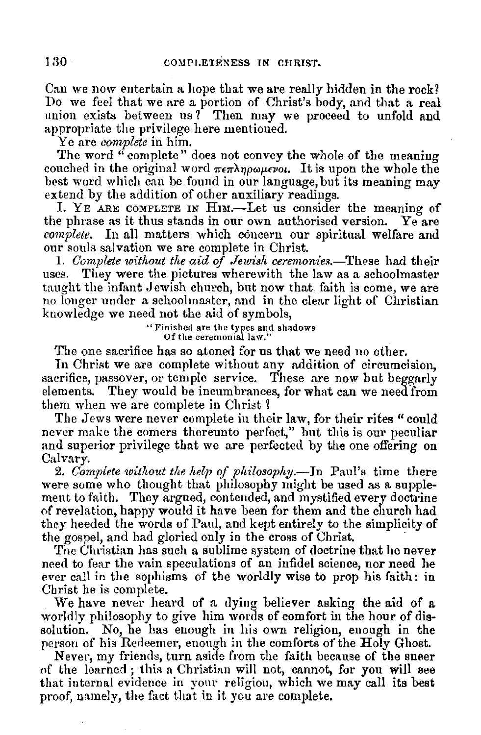Can we now entertain a hope that we are really hidden in the rock? Do we feel that we are a portion of Christ's body, and that a real union exists between us? Then may we proceed to unfold and appropriate the privilege here mentioned.

Ye are *complete* in him.

The word  $\ddot{a}$  complete" does not convey the whole of the meaning couched in the original word  $\pi \epsilon \pi \lambda \eta \omega \mu \epsilon \nu \omega$ . It is upon the whole the best word which can be found in our language, but its meaning may extend by the addition of other auxiliary readings.

I. YE ARE COMPLETE IN HIM.—Let us consider the meaning of e phrase as it thus stands in our own authorised version. Ye are the phrase as it thus stands in our own authorised version. *complete.* In all matters which concern our spiritual welfare and our souls salvation we are complete in Christ.

1. *Complete without the aid of Jewish ceremonies.*—These had their uses. They were the pictures where with the law as a schoolmaster They were the pictures wherewith the law as a schoolmaster taught the infant Jewish church, but now that faith is come, we are no longer under a schoolmaster, and in the clear light of Christian knowledge we need not the aid of symbols,

> "Finished are the types and shadows Of the ceremonial law."

The one sacrifice has so atoned for us that we need no other.

In Christ we are complete without any addition of circumcision, sacrifice, passover, or temple service. These are now but beggarly elements. They would be incumbrances, for what can we need from them when we are complete in Christ?

The Jews were never complete in their law, for their rites " could never make the comers thereunto perfect," but this is our peculiar and superior privilege that we are perfected by the one offering on Calvary.<br>2. Complete without the help of philosophy.—In Paul's time there

were some who thought that philosophy might be used as a supplement to faith. They argued, contended, and mystified every doctrine of revelation, happy would it have been for them and the church had they heeded the words of Paul, and kept entirely to the simplicity of the gospel, and had gloried only in the cross of Christ. "

The Christian has such a sublime system of doctrine that he never need to fear the vain speculations of an infidel science, nor need he ever call in the sophisms of the worldly wise to prop his faith: in Christ he is complete.

We have never heard of a dying believer asking the aid of a worldly philosophy to give him words of comfort in the hour of dissolution. No, he has enough in his own religion, enough in the person of his Redeemer, enough in the comforts of the Holy Ghost.

Never, my friends, turn aside from the faith because of the sneer of the learned ; this a Christian will not, cannot, for you will see that internal evidence in your religion, which we may call its best proof, namely, the fact that in it you are complete.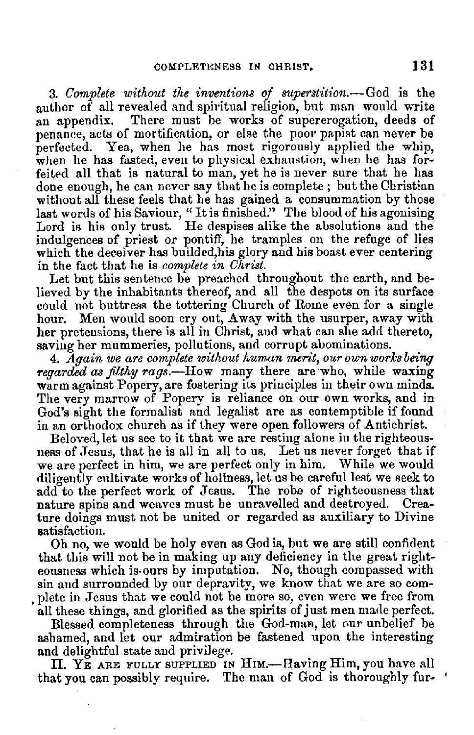3. *Complete without tlie inventiom of superstition.-God* is the author of all revealed and spiritual religion, but man would write an appendix. There must be works of supererogation, deeds of penance, acts of mortification, or else the poor papist can never be perfected. Yea, when he has most rigorously applied the whip, when he has fasted, even to physical exhaustion, when he has forfeited all that is natural to man, yet he is never sure that he has done enough, he can never say that he is complete ; but the Christian without all these feels that lie has gained a consummation by those last words of his Saviour, "It is finished." The blood of his agonising Lord is his only trust. He despises alike the absolutions and the indulgences of priest or pontiff, he tramples on the refuge of lies which the deceiver has builded, his glory and his boast ever centering in the fact that he is *complete in Christ.* 

Let but this sentence be preached throughout the earth, and believed by the inhabitants thereof, and all the despots on its surface could not buttress the tottering Church of Rome even for a single hour. Men would soon cry out, Away with the usurper, away with her pretensions, there is all in Christ, and what can she add thereto, saving her mummeries, pollutions, and corrupt abominations.

4. *Again we are complete without human merit, our oun works being* regarded as filthy rags.-How many there are who, while waxing warm against Popery, are fostering its principles in their own minds. The very marrow of Popery is reliance on our own works, and in God's sight the formalist and legalist are as contemptible if found in an orthodox church as if they were open followers of Antichrist.

ness of Jesus, that he is all in all to us. Let us never forget that if we are perfect in him, we are perfect only in him. While we would diligently cultivate works of holiness, let us be careful lest we seek to add to the perfect work of Jesus. The robe of righteousness that nature spins and weaves must be unravelled and destroyed. Creature doings must not be united or regarded as auxiliary to Divine satisfaction.

Oh no, we would be holy even as God is, but we are still confident that this will not be in making up any deficiency in the great righteousness which is-ours by imputation. No, though compassed with sin and surrounded by our depravity, we know that we are so corn- • plete in Jesus that we could not be more so, even were we free from all these things, and glorified as the spirits of just men made perfect.

Blessed completeness through the God-man, let our unbelief be ashamed, and let our admiration be fastened upon the interesting and delightful state and privilege.

II. YE ARE FULLY SUPPLIED IN HIM.-Having Him, you have all that you can possibly require. The man of God is thoroughly fur- '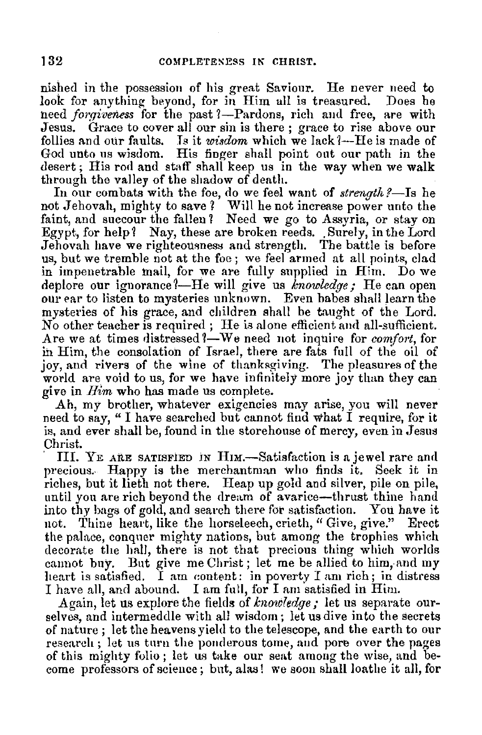nished in the possession of his great Saviour. He never need to look for anything beyond, for in Him all is treasured. Does he need *forgiveness* for the past ?--Pardons, rich and free, are with Jesus. Grace to cover all our sin is there: grace to rise above our Grace to cover all our sin is there; grace to rise above our follies and our faults. Is it *wisdom* which we lack *l*—He is made of God unto us wisdom. His finger shall point out our path in the desert; His rod and staff shall keep us in the way when we walk through the valley of the shadow of death.

In our combats with the foe, do we feel want of *strength*?—Is he not Jehovah, mighty to save ? Will he not increase power unto the faint, and succour the fallen? Need we go to Assyria, or stay on Egypt, for help? Nay, these are broken reeds. Surely, in the Lord Jehovah have we righteousness and strength. The battle is before us, but we tremble not at the foe ; we feel armed at all points, clad in impenetrable mail, for we are fully supplied in Him. Do we deplore our ignorance?—He will give us *knowledge*; He can open our ear to listen to mysteries unknown. Even babes shall learn the mysteries of his grace, and children shall be taught of the Lord. No other teacher is required; He is alone efficient and all-sufficient. Are we at times distressed ?- We need not inquire for *comfort*, for ih Him, the consolation of Israel, there are fats full of the oil of joy, and rivers of the wine of thanksgiving. The pleasures of the world are void to us, for we have infinitely more joy than they can *give* in *Him* who has made us complete.

Ah, my brother, whatever exigencies may arise, you will never need to say, " I have searched but cannot find what I require, for it is, and ever shall be, found in the storehouse of mercy, even in Jesus Christ.

III. YE ARE SATISFIED IN HIM.—Satisfaction is a jewel rare and precious.. Happy is the merchantman who finds it, Seek it in riches, but it lieth not there. Heap up gold and silver, pile on pile, until you are rich beyond the dream of avarice-thrust thine hand into thy bags of gold, and search there for satisfaction. You have it not. Thine heart, like the horseleech, crieth, "Give, give." Erect the palace, conquer mighty nations, but among the trophies which decorate the hall, there is not that precious thing which worlds cannot buy. But give me Christ; let me be allied to him, and my heart is satisfied. I am content: in poverty I am rich; in distress I have all, and abound. I am full, for I am satisfied in Him.

Again, let us explore the fields of *knowledge*; let us separate ourselves, and intermeddle with all wisdom; letusdive into the secrets of nature; let the heavens yield to the telescope, and the earth to our research; let us turn the ponderous tome, and pore over the pages of this mighty folio; let us take our seat among the wise, and become professors of science; but, alas! we soon shall loathe it all, for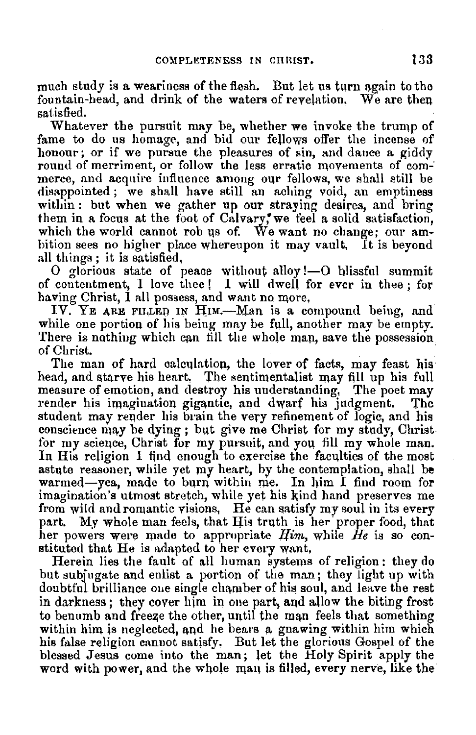much study is a weariness of the flesh. But let us turn again to the fountain-head, and drink of the waters of revelation, We are then satisfied.

Whatever the pursuit may be, whether we invoke the trump of fame to do us homage, and bid our fellows offer the incense of honour; or if we pursue the pleasures of sin, and dance a giddy round of merriment, or follow the less erratic movements of com--<br>merce, and acquire influence among our fellows, we shall still be disappointed; we shall have still an aching void, an emptiness within : but when we gather up our straying desires, and bring them in a focus at the foot of Calvary, we feel a solid satisfaction, which the world cannot rob us of. We want no change: our ambition sees no higher place whereupon it may vault. It is beyond all things; it is satisfied,

 $0$  glorious state of peace without alloy !-  $0$  blissful summit of contentment, I love thee! I will dwell for ever in thee; for having Christ, I all possess, and want no more,

IV. YE ARE FILLED IN  $\text{H}_{\text{IM}}$ .--Man is a compound being, and while one portion of his being may be full, another may be empty. There is nothing which can fill the whole man, save the possession of Christ. of Christ.

The man of hard calculation, the lover of facts, may feast his head, and starve his heart. The sentimentalist may fill up his full measure of emotion, and destroy his understanding. The poet may render his imagination gigantic, and dwarf his judgment. The student may reqder his brain the very refinement of logic, and his conscience may be dying; but give me Christ for my study, Christ for my science, Christ for my pursuit, and you fill my whole man. In His religion I find enough to exercise the faculties of the most astute reasoner, while yet my heart, by the contemplation, shall be warmed-yea, made to burn within rne. In him *I* find room for imagination's utmost stretch, while yet his kind hand preserves me from wild and romantic visions, He can satisfy my soul in its every part. My whole man feels, that His truth is her proper food, that her powers were made to appropriate *Him*, while *He* is so constituted that He is adapted to her every want,

Herein lies the fault of all human systems of religion: they do but subjugate and enlist a portion of the man; they light up with doubtful brilliance one single chamber of his soul, and leave the rest in darkness; they cover  $\lim_{n \to \infty}$  in one part, and allow the biting frost to benumb and freeze the other, until the man feels that something within him is neglected, and he bears a gnawing within him which his false religion cannot satisfy. But let the glorious Gospel of the blessed Jesus come into the man; let the Holy Spirit apply the word with power, and the whole man is filled, every nerve, like the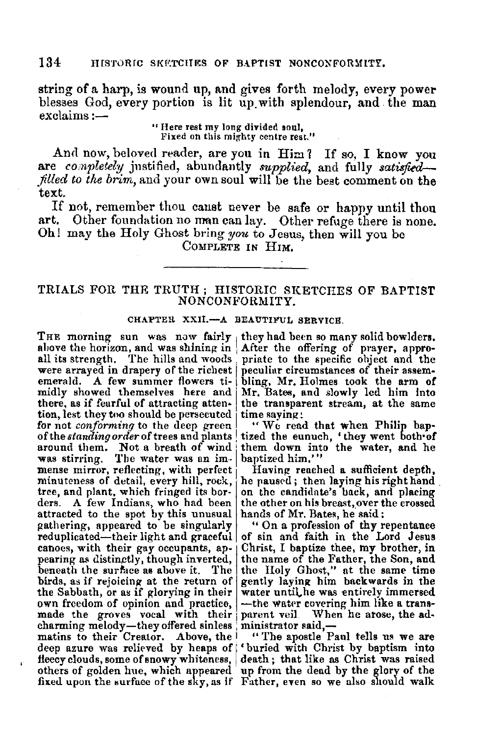string of a harp, is wound up, and gives forth melody, every power blesses God, every portion is lit up with splendour, and the man exclaims:-

> " **Here rest my long divided soul,**  Fixed on this mighty centre rest."

And now, beloved reader, are you in Him? If so, I know you are *completely* justified, abundantly *supplied*, and fully satisfied*filled to the brim*, and your own soul will be the best comment on the text.

If not, remember thou canst never be safe or happy until thou art. Other foundation no man can lay. Other refuge there is none. Oh! may the Holy Ghost bring *you* to Jesus, then will you be COMPLETE IN HIM,

# TRIALS FOR THR TRUTH ; HISTORIC SKETCHES OF BAPTIST NONCONFORMITY.

## CHAPTER XXII.-A BEAUTIFUL SERVICE.

THE morning sun was now fairly they had been so many solid bowlders, above the horizon, and was shining in After the offering of prayer, approahove the horizon, and was shining in After the offering of prayer, appro-<br>all its strength. The hills and woods priate to the specific object and the were arrayed in drapery of the richest peculiar circumstances of their assem-<br>emerald. A few summer flowers ti- bling, Mr. Holmes took the arm of<br>midly showed themselves here and Mr. Bates, and slowly led him into midly showed themselves here and  $Mr.$  Bates, and slowly led him into there, as if fearful of attracting atten- the transparent stream, at the same tion, lest they two should be persecuted time saying:<br>for not *conforming* to the deep green  $\|\cdot\|$  We read that when Philip bapfor not *conforming* to the deep green of the *standing order* of trees and plants around them. Not a breath of wind was stirring. The water was an imwas stirring. The water was an im- baptized him.'"<br>mense mirror, reflecting, with perfect Having reached a sufficient depth,<br>minuteness of detail, every hill, rock, he paused; then laying his right hand tree, and plant, which fringed its bor- on the candidate's back, and placing ders. A few Indians, who had been the other on his breast, over the crossed ders. A few Indians, who had been the other on his breast, over t<br>attracted to the spot by this unusual hands of Mr. Bates, he said: attracted to the spot by this unusual gathering, appeared to be singularly reduplicated—their light and graceful of sin and faith in the Lord Jesus<br>canoes, with their gay occupants, ap- | Christ, I baptize thee, my brother, in canoes, with their gay occupants, ap- Christ, I baptize thee, my brother, in pearing as distinctly, though inverted, the name of the Father, the Son, and pearing as distinctly, though inverted, beneath the surface as above it. The the Holy Ghost," at the same time birds, as if rejoicing at the return of gently laying him backwards in the birds, as if rejoicing at the return of gently laying him backwards in the Sabbath, or as if glorying in their water until the was entirely immersed the Sabbath, or as if glorying in their water until, he was entirely immersed own freedom of opinion and practice, -the water covering him like a trans-<br>made the groves yocal with their parent yeil. When he arose, the admade the groves vocal with their charming melody—they offered sinless ministrator said,—<br>matins to their Creator. Above, the "The apostle Paul tells us we are deep azure was relieved by heaps of 'buried with Christ by baptism into fleecy clouds, some of snowy whiteness, death; that like as Christ was raised others of golden hue, which appeared fixed upon the surface of the sky, as if Father, even so we also should walk

tized the eunuch, 'they went both<sup>of</sup> them down into the water, and he

he paused; then laying his right hand.

" On a profession of thy repentance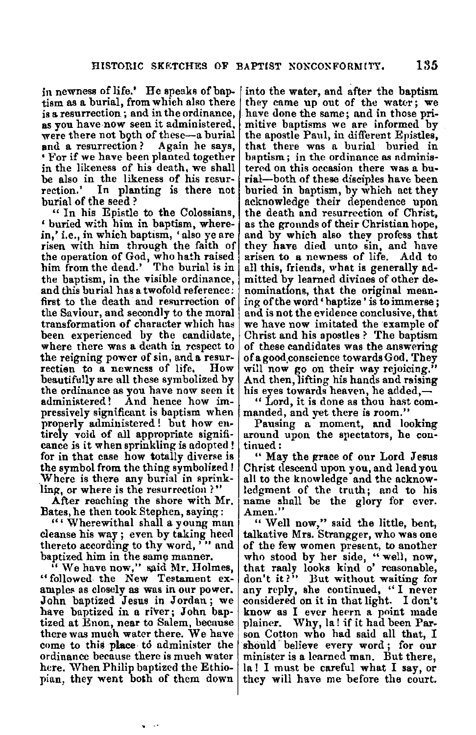in newness of life.' He speaks of baptism as a burial, from which also there<br>is a resurrection; and in the ordinance, as you have now seen it administered,<br>were there not both of these--a burial<br>and a resurrection? Again he says, **Por if we have been planted together** in the likeness of his death, we shall be also in the likeness of his resur- rection.' In planting is there not burial of the seed ?

" In his Epistle to the Colossians, ' buried with him in baptism, wherein,' i.e., in which baptism, 'also ye are risen with him through the faith of the operation of God, who hath raised<br>him from the dead.' The burial is in the baptism, in the visible ordinance, and this burial has a twofold reference: first to the death and resurrection of the Saviour, and secondly to the moral transformation of character which has been experienced by the candidate, where there was a death in respect to the reigning power of sin, and a resur-<br>rection to a newness of life. How beautifully are all these symbolized by the ordinance as you have now seen it administered! And hence how impressively significant is baptism when<br>properly administered! but how entirely void of all appropriate signifi-<br>cance is it when sprinkling is adopted! for in that case how totally diverse is the symbol from the thing symbolized! Where is there any burial in sprinkling, or where is the resurrection?"

After reaching the shore with Mr. Bates, he then took Stephen, saying:

"' Wherewithal shall a young man cleanse his way ; even by taking heed thereto according to thy word,  $\ddot{\cdot}$  and bantized him in the same manner.

"We have now," said Mr. Holmes, "followed the New Testament ex- amples as closely as was in our power. John baptized Jesus in Jordan; we have baptized in a river; John baptized at Enon, near to Salem, because come to this place to administer the ordinance because there is much water here. When Philip baptizcd the Ethiopian, they went boih of them down

into the water, and after the baptism<br>they came up out of the water; we have done the same; and in those primitive baptisms we are informed by the apostle Paul, in different Epistles, that there was a burial buried in baptism; in the ordinance as administered on this occasion there was a burial-both of these disciples have been buried in baptism, by which act they acknowledge their dependence upon as the grounds of their Christian hope, and by which also thev profess that they **have** died unto sin, and have arisen to a newness of life. Add to all this, friends, what is generally ad• mitted by learned divines of other denominations, that the original mean-<br>ing of the word 'baptize' is to immerse; and is not the evidence conclusive, that<br>we have now imitated the example of Christ and his apostles ? The baptism of these candidates was the answering of a good.conscience towards God. They will now go on their way rejoicing." And then, lifting his hands and raising his eyes towards heaven, he added,-

" Lord, it is done as thou hast com- manded, and yet there is room."

Pausing a moment, and looking around upon the spectators, he con-<br>tinued:

" May the grace of our Lord Jesus Christ tlescend upon you, and lead you all to the knowledge and the acknowledgment of the truth; and to his name shall be the glory for ever.<br>Amen.'' " Well now," said the little, bent,

talkative Mrs. Strangger, who was one of the few women present, to another who stood by her side, "well, now, that raaly looks kind o' reasonable, don't it?" But without waiting for<br>any reply, she continued, "I never considered on it in that light. I don't know as I ever heern a point made plainer. Why, la! if it had been Par. son Cotton who had said all that, I should believe every word; for our minister is a learned man. But there, la! I must be careful what I say, or they will have me before the court.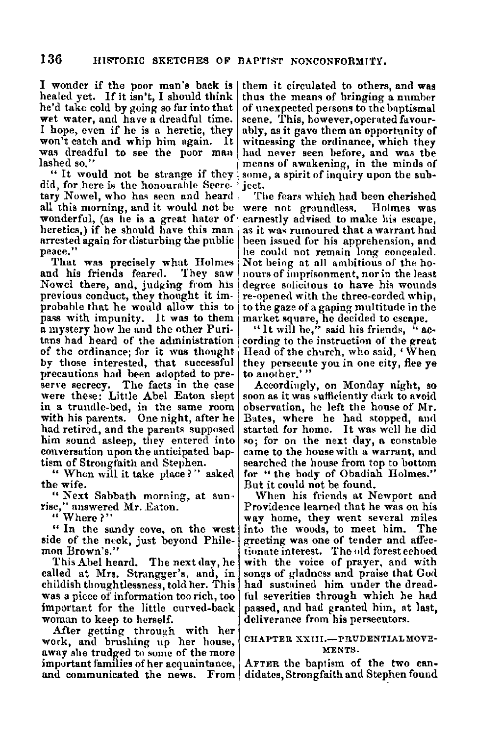I wonder if the poor man's back is healed yet. If it isn't, I should think he'd take cold by going so far into that wet water, and have a dreadful time. I hope, even if he is a heretic, they won't catch and whip him ugain. lt was dreadful to see the poor man lashed so.''

"It would not be strnnge if they did, for here is the honourable Secretary Nowel, who has seen and heard all this morning, and it would not be wonderful, (as he is a great hater of heretics,) if he should have this man arrested again for disturbing the public peace."

That was precisely what Holmes<br>d his friends feared. They saw and his friends feared. Nowel there, and, judging from his previous conduct, they thought it improbable that he would allow this to pass with impunity. It was to them a mystery how he and the other Puritans had heard of the administration of the ordinance; for it was thought by those interested, that successful precautions had been adopted to pre-<br>serve secrecy. The facts in the case were these: Little Abel Eaton slept in a trundle-bed, in the same room with his parents. One night, after he had retired, and the parents supposed him sound asleep, they entered into conversation upon the anticipated baptism of Strongfaith and Stephen.

" When will it take place?" asked the wife.

"Next Sabbath morning, at sun• rise," answered l\Ir. Eaton.

" Where?"

" In the sandy cove, on the west side of the neck, just beyond Phile- **mon Brown's.''** 

This Abel heard. The next day, he called at Mrs. Strangger's, and, in childish thoughtlessness, told her. This was a piece of information too rich, too important for the little curved-back woman to keep to herself.

After getting through with her work, and brushing up her house, away she trudged to some of the more important families of her acquaintance, and communicated the news. From didates, Strongfaith and Stephen found

them it circulated to others, and was thus the means of bringing a number of unexpected persons to the baptismal scene. This, however, operated favourably, as it gave them an opportunity of witnessing the ordinance, which they had never seen before, and was the means of awakening, in the minds of some, a spirit of inquiry upon the subject.

The fears which had been cherished were not groundless. Holmes was earnestly advised to make his escape, as it was rumoured that a warrant had been issued for his apprehension, and he could not remain long concealed.<br>Not being at all ambitious of the honours of imprisonment, nor in the least degree solicitous to have his wounds re-openecl with the three-corded whip, to the gaze of a gaping multitude in the

market square, he decided to escape.<br>"It will be," said his friends, "according to the instruction of the great Head of the church, who said,' When they persecute you in one city, flee ye to another.'"<br>Accordingly, on Monday night, so

soon as it was sufficiently dark to avoid observation, he left the house of Mr. Bates, where he had stopped, and started for home. It was well he did so; for on the next day, a constable came to the house with a warrant, and searched the house from top to bottom for "the body of Obadiah Holmes." But it could not be found.

When his friends at Newport and Providence learned that he was on his **way** home, they went several miles intu the woods, to meet him. The greeting was one of tender and affectionate interest. The old forest echoed with the voice of prayer, and with songs of gladness and praise that God had sustained him under the dreadful severities through which he had passed, and had granted him, at last, deliverance from his persecutors.

### CHAPTER XXIII.-PRUDENTIAL MOVE-MENTS.

AFTER the baptism of the two can-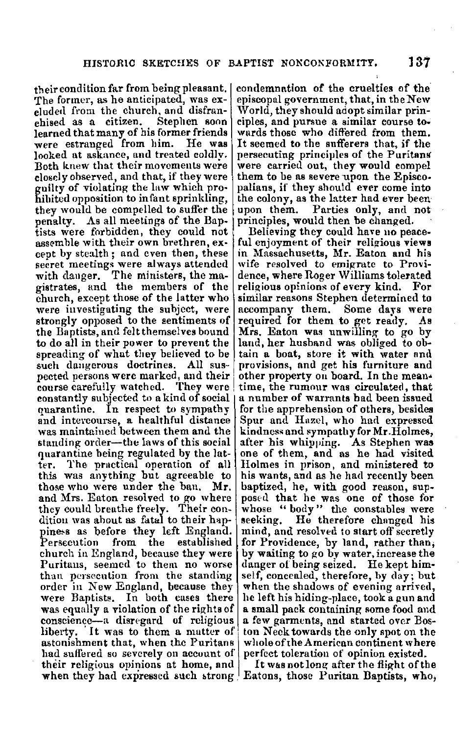their condition far from being pleasant.<br>The former, as he anticipated, was excluded from the church, and disfran-<br>chised as a citizen. Stephen soon learned that many of his former friends<br>were estranged from him. He was looked at askance, and treated coldlv. Both knew that their movements were closely observed, and that, if they were guilty of violating the law which pro-hibited opposition to infant sprinkling, they would be compelled to suffer the penalty. As all meetings of the Baptists were forbidden, they could not assemble with their own brethren, except by stealth; and even then, these secret meetings were always attended<br>with dauger. The ministers, the magistrates, and the members of the church, except those of the latter who were investigating the subject, were strongly opposed to the sentiments of the Baptists, and felt themselves bound to do all in their power to prevent the spreading of what they believed to be<br>such dangerous doctrines. All suspected persons were marked, and their<br>course carefully watched. They were constantly subjected to a kind of social quarantine. In respect to sympathy and intercourse, a healthful distance was maintained between them and the standing order-the laws of this social quarantine being regulated by the latter. The practical operation of all this was anything but agreeable to those who were under the ban. **Mr.**  and Mrs. Eaton resolved to go where they could breathe freely. Their con-<br>dition was ahout as fatal to their happiness as before they left England.<br>Persecution from the established from the established church in England, because they were<br>Puritans, seemed to them no worse<br>than persecntion from the standing order in New England, because they were Baptists. In both cases there was equally a violation of the rights of conscience-a disregard of religious liberty. 'It was to them a mutter of astonishment that, when the Puritans had suffered so severely on account of their religious opinions at home, and when they had expressed such strong.

condemnation of the cruelties of the· episcopal government, that, in the New World, they should adopt similar principles, and pursue a similar course towards those who differed from them, It seemed to the sufferers that, if the persecuting principles of the Puritans'<br>were carried out, they would compel them to be as severe upon the Episcopalians, if they should ever come into the colony, as the latter had ever been<br>upon them. Parties only, and not Parties only, and not principles, would then be changed.

Believing they could have no peaceful enjoyment of their religious views in Massachusetts, Mr. Eaton and his wife resolved to emigrate to Providence, where Roger \Villiams tolerated religious opinions of every kind. For similar reasons Stephen determined to accompany them. Some days were required for them to get ready. As Mrs. Eaton was unwilling- to go by land, her husband was obliged to obtain a boat, store it with water and provisions, and get his furniture and time, the rumour was circulated, that<br>a number of warrants had been issued for the apprehension of others, besides Spur and Huzel, who had expressed kindness and sympathy for Mr. Holmes, after his whipping. As Stephen was one of them, and as he had visited Holmes in prison, and ministered to his wants, and as he had recently been baptized, he, with good reason, supposed that he was one of those for whose "body" the constables were<br>seeking. He therefore changed his mind, and resolved to start off secretly **for** Providence, by land, rather than; by waiting to go by water, increase the danger of being seized. He kept himself, concealed, therefore, hy day; but when the shadows of evening arrived, he left his hiding-place, took a gun and **a small** pack containing some food and a few garm~nts, and started over Boston Neck towards the only spot on the whole of the American continent where perfect toleration of opinion existed.

It was not long after the flight of the Eatons, those Puritan Baptists, who,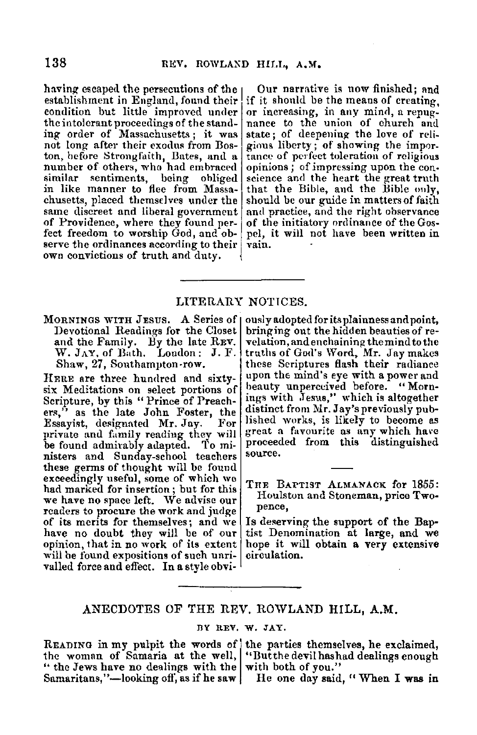establishment in England, found their if it should be the means of creating, condition but little improved under or increasing, in any mind, a repugcondition but little improved under or increasing, in any mind, a repug-<br>the intolerant proceedings of the stand- nance to the union of church and the intolerant proceedings of the stand- nance to the union of church and ing order of Massachusetts; it was state; of deepening the love of relinot long after their exodus from Bos- gious liberty; of showing the impor-<br>ton, before Strongfaith, Bates, and a tance of perfect toleration of religious similar sentiments, being obliged science and the heart the great truth<br>in like manner to flee from Massa- that the Bible, and the Bible only,<br>chusetts, placed themselves under the should be our guide in matters of faith chusetts, placed themselves under the should be our guide in matters of faith same discreet and liberal government and practice, and the right observance of Providence, where they found ner- of the initiatory ordinance of of Providence, where they found per- of the initiatory ordinance of the Gos-<br>fect freedom to worship God, and ob- | pel, it will not have been written in serve the ordinances according to their | vain. own convictions of truth and duty.

having escaped the persecutions of the  $|$  Our narrative is now finished; and establishment in England, found their if it should be the means of creating. state; of deepening the love of reli-<br>gious liberty; of showing the importon, before Strongfaith, Bates, and a tance of perfect toleration of religious number of others, who had embraced opinions; of impressing upon the consimilar sentiments, being obliged science and the heart the great truth

## LITERARY NOTICES.

MORNINGS WITH JESUS. A Series of | Devotional Readings for the Closet and the Family. By the late REV. \V. JAY, of Bath. London: J. F. Shaw, 27, Southampton-row.

HERE are three hundred and sixtysix Meditations on select portions of Scripture, by this "Prince of Preachers," as the late John Foster, the Essavist, designated Mr. Jay. For Essayist, designated Mr. Jay. private and family reading they will be found admirnbly adapted. To ministers and Sunday-school teachers these germs of thought will be found<br>exceedingly useful, some of which we had marked for insertion; but for this we have no space left. We advise our readers to procure the work and judge of its merits for themselves; and we have no doubt they will be of our opinion, that in no work of its extent will be found expositions of such unrivalled force and effect. In a style obvi-

ously adopted for its plainness and point,<br>bring ing out the hidden beauties of revelation, and enchaining the mind to the truths of God's Word, Mr. Jaymakcs these Scriptures flash their radiance upon the mind's eye with a power and beauty unperceived before. "Mornings with Jesus," which is altogether distinct from Mr. Jay's previously published works, is likely to become as great a favourite as any which have proceeded from this distinguished source.

THE BAPTIST ALMANACK for 1855: Houlston and Stoneman, price Twopence,

Is deserving the support of the Baptist Denomination at large, and we hope it will obtain a very extensive circulation.

## .ANECDOTES OF THE REV. ROWLAND HILL, **A.M.**

### nY IlEV. W. JAY.

READING in my pulpit the words of the parties themselves, he exclaimed, the woman of Samaria at the well, "Butthe devil has had dealings enough " the Jews have no dealings with the  $\vert$  with both of you." Samaritans,"-looking off, as if he saw | He one day said, "When I was in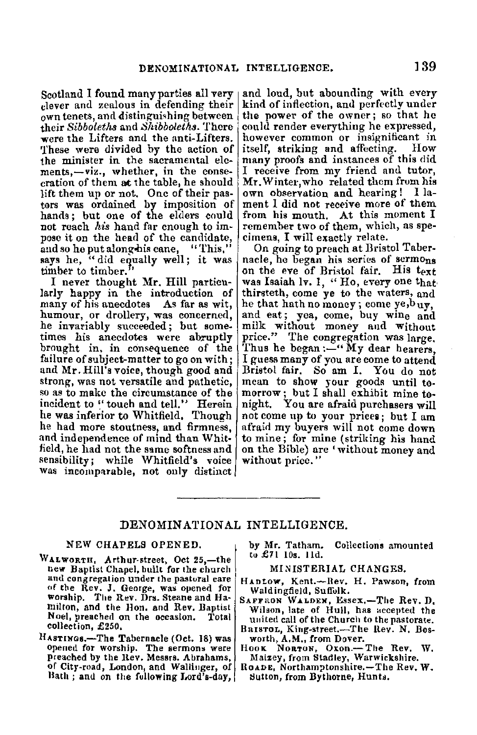Scotland I found many parties all very<br>clever and zealous in defending their own tenets, and distinguishing between their *Sibbolet}is* and *Shibboleths.* There **were** the Lifters and the anti-Lifters. 'fhese were divided by the action of the minister in the sacramental elements,-viz., whether, in the conse-<br>cration of them at the table, he should lift them up or not, One of their pastors was ordained by imposition of hands; but one of the elders could not reach *his* hand far enough to impose it on the head of the candidate, and so he put along his cane, "This," says he, "did equally well; it was timber to timber."

I never thought Mr. Hill particularly happy in the introduction of many of his anecdotes As far as wit, humour, or drollery, was concerned, he invariably succeeded; but some-<br>times his anecdotes were abruptly brought in, in consequence of the failure of subject-matter to go on with; and Mr. Hill's voice, though good and strong, was not versatile and pathetic, so as to make the circumstance of the incident to " touch and tell." Herein he was inferior to Whitfield. Though he had more stoutness, and firmness, and independence of mind than Whitfield, he had not the same softness and sensibility; while Whitfield's voice was incomparable, not only distinct and loud, but abounding with every kind of inflection, and perfectly under the power of the owner; so that he could render everything he expressed, however common or insignificant in itself, striking and affecting. many proofs and instances of this did I receive from my friend and tutor, **Mr.** Winter,who related them from his own ob8ervation and hearing ! I lament I did not receive more of them from his mouth. At this moment I remember two of them, which, as specimens, I will exactly relate.

On going to preach at Bristol Taber-<br>nacle, he began his series of sermons on the eve of Bristol fair. His t<sub>ext</sub> was Isaiah lv. 1, "Ho, every one that. thirsteth, come ye to the waters, and he that hath no money; come ye,buy, and eat; yea, come, buy wine and milk without money and Without price." The congregation was large. Thus he began: $-$ " My dear hearers, I guess many of you are come to attend mean to show your goods until tomorrow; but I shall exhibit mine to-<br>night. You are afraid purchasers will You are afraid purchasers will not come up to your pricea; but I am afraid my buyers will not come down to mine; for mine (striking his hand on the Bible) are 'without money and without price."

# DENOMINATIONAL INTELLIGENCE.

#### NEW CHAPELS OPENED.

- WALWORTH, Arthur-street, Oct 25,—the new Baptist Chapel, built for the church and congregation under the pastural care of the Rev. J. George, was opened for worship. The Rev. Drs. Steane and Hamilton, and the Hon. and Rev. Baptist Noel, preached on the occasion. Total collection, £250,
- HASTINGS.-The Tabernacle (Oct. 18) was opened for worship. The sermons were preached by the llev. Messrs. Abrahams, or City-road, London, and Wallinger, of Bath ; and on the following Lord's-day,

by Mr. Tatham. Collections amounted<br>to £71 10s. 11d.

#### MINISTERIAL CHANGES.

- HAntow, Kent.--Rev. H. Pawson, from Waldingfield, Suffolk.<br>SAFFRON WALDEN, Essex.-The Rev. D.
- Wilson, late of Hull, has accepted the united call of the Church to the pastorate.
- BarsroL, King-street.-The Rev. N. Bosworth, **A,M,,** from Dover.
- HooK NoaTUN, Oxon.-The Rev. W. Maizey, from Stadley, Warwickshire.
- RoADE, Northamptonshire.-The Rev, **W.**  Sutton, from Bythorne, Hunts.